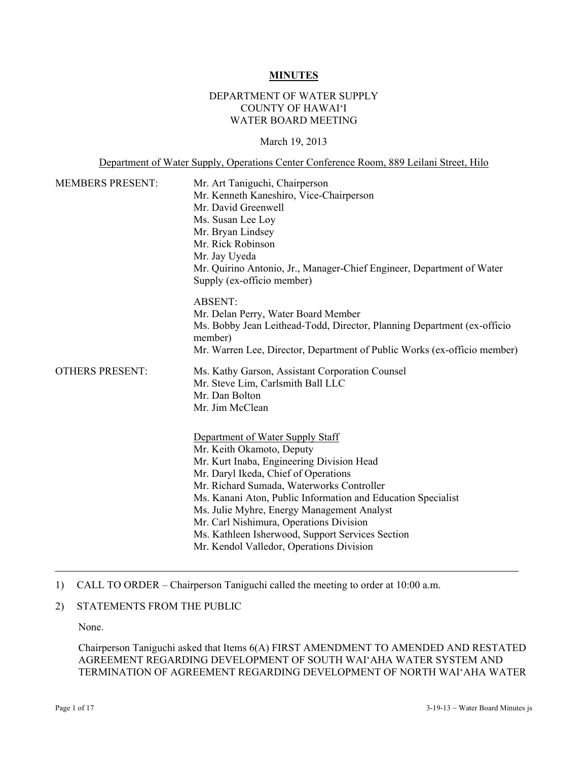#### **MINUTES**

## DEPARTMENT OF WATER SUPPLY COUNTY OF HAWAI'I WATER BOARD MEETING

#### March 19, 2013

Department of Water Supply, Operations Center Conference Room, 889 Leilani Street, Hilo

| <b>MEMBERS PRESENT:</b> | Mr. Art Taniguchi, Chairperson<br>Mr. Kenneth Kaneshiro, Vice-Chairperson<br>Mr. David Greenwell<br>Ms. Susan Lee Loy<br>Mr. Bryan Lindsey<br>Mr. Rick Robinson<br>Mr. Jay Uyeda<br>Mr. Quirino Antonio, Jr., Manager-Chief Engineer, Department of Water<br>Supply (ex-officio member)                                                                                                                                                                  |  |
|-------------------------|----------------------------------------------------------------------------------------------------------------------------------------------------------------------------------------------------------------------------------------------------------------------------------------------------------------------------------------------------------------------------------------------------------------------------------------------------------|--|
|                         | <b>ABSENT:</b><br>Mr. Delan Perry, Water Board Member<br>Ms. Bobby Jean Leithead-Todd, Director, Planning Department (ex-officio<br>member)<br>Mr. Warren Lee, Director, Department of Public Works (ex-officio member)                                                                                                                                                                                                                                  |  |
| <b>OTHERS PRESENT:</b>  | Ms. Kathy Garson, Assistant Corporation Counsel<br>Mr. Steve Lim, Carlsmith Ball LLC<br>Mr. Dan Bolton<br>Mr. Jim McClean                                                                                                                                                                                                                                                                                                                                |  |
|                         | Department of Water Supply Staff<br>Mr. Keith Okamoto, Deputy<br>Mr. Kurt Inaba, Engineering Division Head<br>Mr. Daryl Ikeda, Chief of Operations<br>Mr. Richard Sumada, Waterworks Controller<br>Ms. Kanani Aton, Public Information and Education Specialist<br>Ms. Julie Myhre, Energy Management Analyst<br>Mr. Carl Nishimura, Operations Division<br>Ms. Kathleen Isherwood, Support Services Section<br>Mr. Kendol Valledor, Operations Division |  |

## 1) CALL TO ORDER – Chairperson Taniguchi called the meeting to order at 10:00 a.m.

# 2) STATEMENTS FROM THE PUBLIC

None.

Chairperson Taniguchi asked that Items 6(A) FIRST AMENDMENT TO AMENDED AND RESTATED AGREEMENT REGARDING DEVELOPMENT OF SOUTH WAI'AHA WATER SYSTEM AND TERMINATION OF AGREEMENT REGARDING DEVELOPMENT OF NORTH WAI'AHA WATER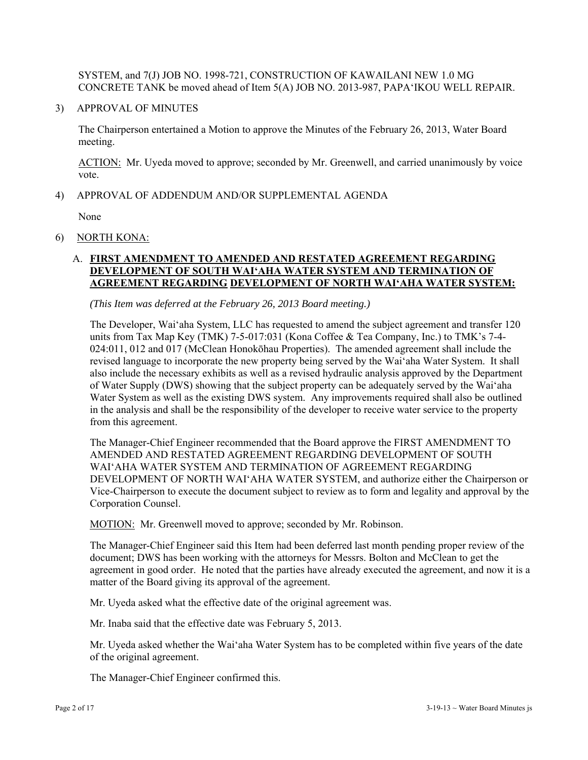SYSTEM, and 7(J) JOB NO. 1998-721, CONSTRUCTION OF KAWAILANI NEW 1.0 MG CONCRETE TANK be moved ahead of Item 5(A) JOB NO. 2013-987, PAPA'IKOU WELL REPAIR.

3) APPROVAL OF MINUTES

The Chairperson entertained a Motion to approve the Minutes of the February 26, 2013, Water Board meeting.

ACTION: Mr. Uyeda moved to approve; seconded by Mr. Greenwell, and carried unanimously by voice vote.

4) APPROVAL OF ADDENDUM AND/OR SUPPLEMENTAL AGENDA

None

6) NORTH KONA:

# A. **FIRST AMENDMENT TO AMENDED AND RESTATED AGREEMENT REGARDING DEVELOPMENT OF SOUTH WAI'AHA WATER SYSTEM AND TERMINATION OF AGREEMENT REGARDING DEVELOPMENT OF NORTH WAI'AHA WATER SYSTEM:**

*(This Item was deferred at the February 26, 2013 Board meeting.)* 

The Developer, Wai'aha System, LLC has requested to amend the subject agreement and transfer 120 units from Tax Map Key (TMK) 7-5-017:031 (Kona Coffee & Tea Company, Inc.) to TMK's 7-4- 024:011, 012 and 017 (McClean Honokōhau Properties). The amended agreement shall include the revised language to incorporate the new property being served by the Wai'aha Water System. It shall also include the necessary exhibits as well as a revised hydraulic analysis approved by the Department of Water Supply (DWS) showing that the subject property can be adequately served by the Wai'aha Water System as well as the existing DWS system. Any improvements required shall also be outlined in the analysis and shall be the responsibility of the developer to receive water service to the property from this agreement.

The Manager-Chief Engineer recommended that the Board approve the FIRST AMENDMENT TO AMENDED AND RESTATED AGREEMENT REGARDING DEVELOPMENT OF SOUTH WAI'AHA WATER SYSTEM AND TERMINATION OF AGREEMENT REGARDING DEVELOPMENT OF NORTH WAI'AHA WATER SYSTEM, and authorize either the Chairperson or Vice-Chairperson to execute the document subject to review as to form and legality and approval by the Corporation Counsel.

MOTION: Mr. Greenwell moved to approve; seconded by Mr. Robinson.

The Manager-Chief Engineer said this Item had been deferred last month pending proper review of the document; DWS has been working with the attorneys for Messrs. Bolton and McClean to get the agreement in good order. He noted that the parties have already executed the agreement, and now it is a matter of the Board giving its approval of the agreement.

Mr. Uyeda asked what the effective date of the original agreement was.

Mr. Inaba said that the effective date was February 5, 2013.

Mr. Uyeda asked whether the Wai'aha Water System has to be completed within five years of the date of the original agreement.

The Manager-Chief Engineer confirmed this.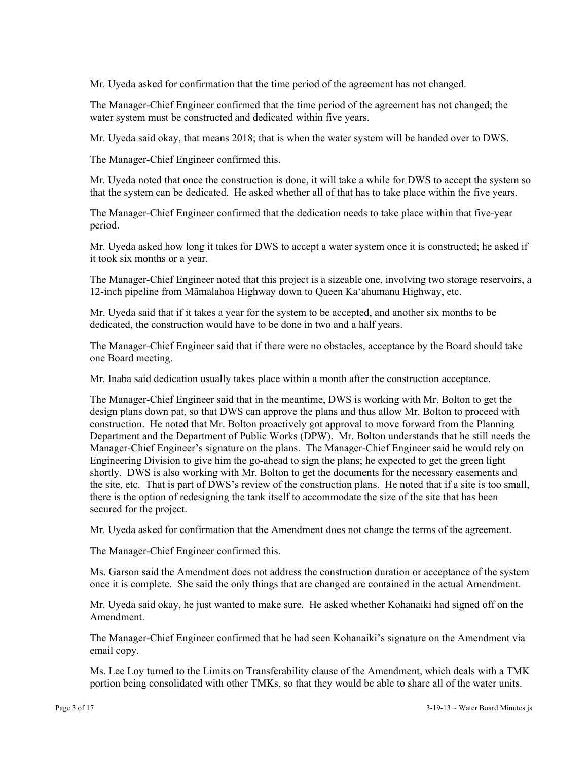Mr. Uyeda asked for confirmation that the time period of the agreement has not changed.

The Manager-Chief Engineer confirmed that the time period of the agreement has not changed; the water system must be constructed and dedicated within five years.

Mr. Uyeda said okay, that means 2018; that is when the water system will be handed over to DWS.

The Manager-Chief Engineer confirmed this.

Mr. Uyeda noted that once the construction is done, it will take a while for DWS to accept the system so that the system can be dedicated. He asked whether all of that has to take place within the five years.

The Manager-Chief Engineer confirmed that the dedication needs to take place within that five-year period.

Mr. Uyeda asked how long it takes for DWS to accept a water system once it is constructed; he asked if it took six months or a year.

The Manager-Chief Engineer noted that this project is a sizeable one, involving two storage reservoirs, a 12-inch pipeline from Māmalahoa Highway down to Queen Ka'ahumanu Highway, etc.

Mr. Uyeda said that if it takes a year for the system to be accepted, and another six months to be dedicated, the construction would have to be done in two and a half years.

The Manager-Chief Engineer said that if there were no obstacles, acceptance by the Board should take one Board meeting.

Mr. Inaba said dedication usually takes place within a month after the construction acceptance.

The Manager-Chief Engineer said that in the meantime, DWS is working with Mr. Bolton to get the design plans down pat, so that DWS can approve the plans and thus allow Mr. Bolton to proceed with construction. He noted that Mr. Bolton proactively got approval to move forward from the Planning Department and the Department of Public Works (DPW). Mr. Bolton understands that he still needs the Manager-Chief Engineer's signature on the plans. The Manager-Chief Engineer said he would rely on Engineering Division to give him the go-ahead to sign the plans; he expected to get the green light shortly. DWS is also working with Mr. Bolton to get the documents for the necessary easements and the site, etc. That is part of DWS's review of the construction plans. He noted that if a site is too small, there is the option of redesigning the tank itself to accommodate the size of the site that has been secured for the project.

Mr. Uyeda asked for confirmation that the Amendment does not change the terms of the agreement.

The Manager-Chief Engineer confirmed this.

Ms. Garson said the Amendment does not address the construction duration or acceptance of the system once it is complete. She said the only things that are changed are contained in the actual Amendment.

Mr. Uyeda said okay, he just wanted to make sure. He asked whether Kohanaiki had signed off on the Amendment.

The Manager-Chief Engineer confirmed that he had seen Kohanaiki's signature on the Amendment via email copy.

Ms. Lee Loy turned to the Limits on Transferability clause of the Amendment, which deals with a TMK portion being consolidated with other TMKs, so that they would be able to share all of the water units.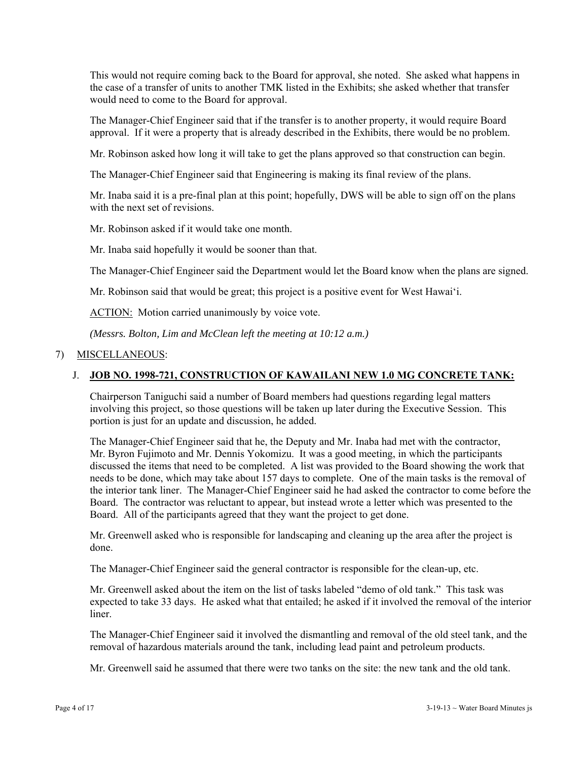This would not require coming back to the Board for approval, she noted. She asked what happens in the case of a transfer of units to another TMK listed in the Exhibits; she asked whether that transfer would need to come to the Board for approval.

The Manager-Chief Engineer said that if the transfer is to another property, it would require Board approval. If it were a property that is already described in the Exhibits, there would be no problem.

Mr. Robinson asked how long it will take to get the plans approved so that construction can begin.

The Manager-Chief Engineer said that Engineering is making its final review of the plans.

Mr. Inaba said it is a pre-final plan at this point; hopefully, DWS will be able to sign off on the plans with the next set of revisions.

Mr. Robinson asked if it would take one month.

Mr. Inaba said hopefully it would be sooner than that.

The Manager-Chief Engineer said the Department would let the Board know when the plans are signed.

Mr. Robinson said that would be great; this project is a positive event for West Hawai'i.

ACTION: Motion carried unanimously by voice vote.

*(Messrs. Bolton, Lim and McClean left the meeting at 10:12 a.m.)* 

#### 7) MISCELLANEOUS:

### J. **JOB NO. 1998-721, CONSTRUCTION OF KAWAILANI NEW 1.0 MG CONCRETE TANK:**

Chairperson Taniguchi said a number of Board members had questions regarding legal matters involving this project, so those questions will be taken up later during the Executive Session. This portion is just for an update and discussion, he added.

The Manager-Chief Engineer said that he, the Deputy and Mr. Inaba had met with the contractor, Mr. Byron Fujimoto and Mr. Dennis Yokomizu. It was a good meeting, in which the participants discussed the items that need to be completed. A list was provided to the Board showing the work that needs to be done, which may take about 157 days to complete. One of the main tasks is the removal of the interior tank liner. The Manager-Chief Engineer said he had asked the contractor to come before the Board. The contractor was reluctant to appear, but instead wrote a letter which was presented to the Board. All of the participants agreed that they want the project to get done.

Mr. Greenwell asked who is responsible for landscaping and cleaning up the area after the project is done.

The Manager-Chief Engineer said the general contractor is responsible for the clean-up, etc.

Mr. Greenwell asked about the item on the list of tasks labeled "demo of old tank." This task was expected to take 33 days. He asked what that entailed; he asked if it involved the removal of the interior liner.

The Manager-Chief Engineer said it involved the dismantling and removal of the old steel tank, and the removal of hazardous materials around the tank, including lead paint and petroleum products.

Mr. Greenwell said he assumed that there were two tanks on the site: the new tank and the old tank.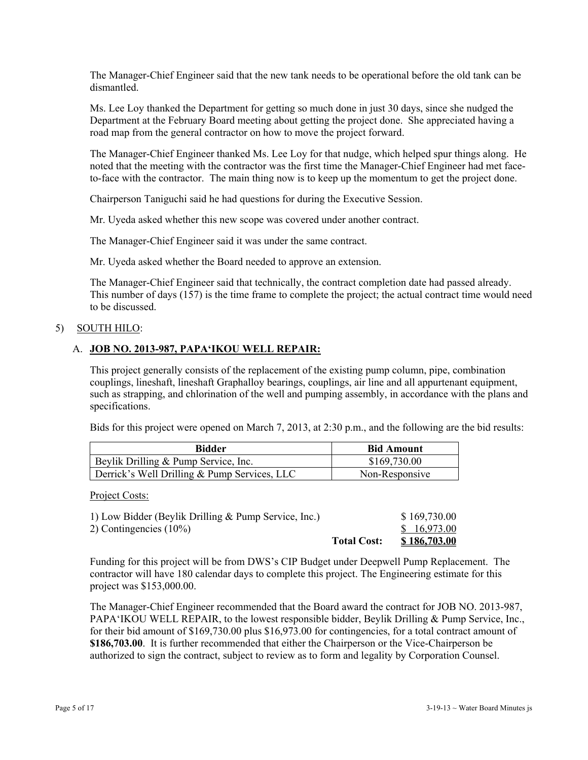The Manager-Chief Engineer said that the new tank needs to be operational before the old tank can be dismantled.

Ms. Lee Loy thanked the Department for getting so much done in just 30 days, since she nudged the Department at the February Board meeting about getting the project done. She appreciated having a road map from the general contractor on how to move the project forward.

The Manager-Chief Engineer thanked Ms. Lee Loy for that nudge, which helped spur things along. He noted that the meeting with the contractor was the first time the Manager-Chief Engineer had met faceto-face with the contractor. The main thing now is to keep up the momentum to get the project done.

Chairperson Taniguchi said he had questions for during the Executive Session.

Mr. Uyeda asked whether this new scope was covered under another contract.

The Manager-Chief Engineer said it was under the same contract.

Mr. Uyeda asked whether the Board needed to approve an extension.

The Manager-Chief Engineer said that technically, the contract completion date had passed already. This number of days (157) is the time frame to complete the project; the actual contract time would need to be discussed.

#### 5) SOUTH HILO:

## A. **JOB NO. 2013-987, PAPA'IKOU WELL REPAIR:**

This project generally consists of the replacement of the existing pump column, pipe, combination couplings, lineshaft, lineshaft Graphalloy bearings, couplings, air line and all appurtenant equipment, such as strapping, and chlorination of the well and pumping assembly, in accordance with the plans and specifications.

Bids for this project were opened on March 7, 2013, at 2:30 p.m., and the following are the bid results:

| Bidder                                       | <b>Bid Amount</b> |
|----------------------------------------------|-------------------|
| Beylik Drilling & Pump Service, Inc.         | \$169,730.00      |
| Derrick's Well Drilling & Pump Services, LLC | Non-Responsive    |

Project Costs:

| 1) Low Bidder (Beylik Drilling & Pump Service, Inc.) |                    | \$169,730.00        |
|------------------------------------------------------|--------------------|---------------------|
| 2) Contingencies $(10\%)$                            |                    | \$16,973.00         |
|                                                      | <b>Total Cost:</b> | <u>\$186,703.00</u> |

Funding for this project will be from DWS's CIP Budget under Deepwell Pump Replacement. The contractor will have 180 calendar days to complete this project. The Engineering estimate for this project was \$153,000.00.

The Manager-Chief Engineer recommended that the Board award the contract for JOB NO. 2013-987, PAPA'IKOU WELL REPAIR, to the lowest responsible bidder, Beylik Drilling & Pump Service, Inc., for their bid amount of \$169,730.00 plus \$16,973.00 for contingencies, for a total contract amount of **\$186,703.00**. It is further recommended that either the Chairperson or the Vice-Chairperson be authorized to sign the contract, subject to review as to form and legality by Corporation Counsel.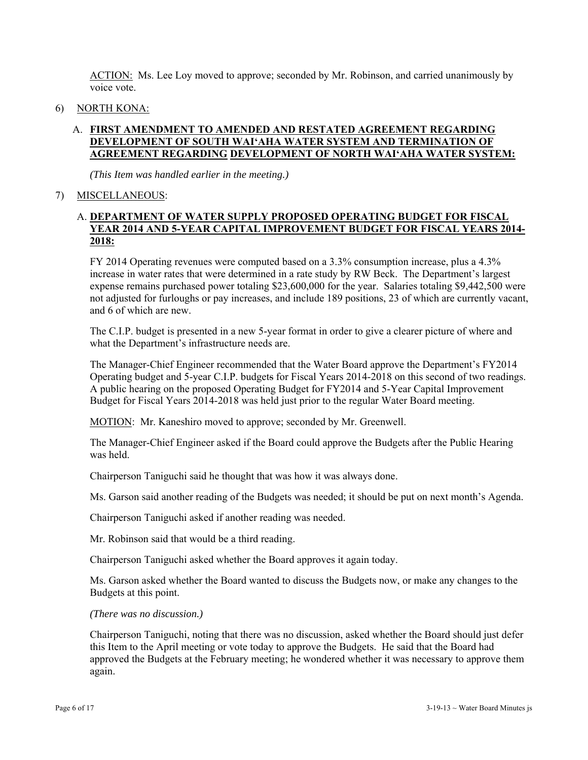ACTION: Ms. Lee Loy moved to approve; seconded by Mr. Robinson, and carried unanimously by voice vote.

6) NORTH KONA:

# A. **FIRST AMENDMENT TO AMENDED AND RESTATED AGREEMENT REGARDING DEVELOPMENT OF SOUTH WAI'AHA WATER SYSTEM AND TERMINATION OF AGREEMENT REGARDING DEVELOPMENT OF NORTH WAI'AHA WATER SYSTEM:**

*(This Item was handled earlier in the meeting.)* 

## 7) MISCELLANEOUS:

# A. **DEPARTMENT OF WATER SUPPLY PROPOSED OPERATING BUDGET FOR FISCAL YEAR 2014 AND 5-YEAR CAPITAL IMPROVEMENT BUDGET FOR FISCAL YEARS 2014- 2018:**

FY 2014 Operating revenues were computed based on a 3.3% consumption increase, plus a 4.3% increase in water rates that were determined in a rate study by RW Beck. The Department's largest expense remains purchased power totaling \$23,600,000 for the year. Salaries totaling \$9,442,500 were not adjusted for furloughs or pay increases, and include 189 positions, 23 of which are currently vacant, and 6 of which are new.

The C.I.P. budget is presented in a new 5-year format in order to give a clearer picture of where and what the Department's infrastructure needs are.

The Manager-Chief Engineer recommended that the Water Board approve the Department's FY2014 Operating budget and 5-year C.I.P. budgets for Fiscal Years 2014-2018 on this second of two readings. A public hearing on the proposed Operating Budget for FY2014 and 5-Year Capital Improvement Budget for Fiscal Years 2014-2018 was held just prior to the regular Water Board meeting.

MOTION: Mr. Kaneshiro moved to approve; seconded by Mr. Greenwell.

The Manager-Chief Engineer asked if the Board could approve the Budgets after the Public Hearing was held.

Chairperson Taniguchi said he thought that was how it was always done.

Ms. Garson said another reading of the Budgets was needed; it should be put on next month's Agenda.

Chairperson Taniguchi asked if another reading was needed.

Mr. Robinson said that would be a third reading.

Chairperson Taniguchi asked whether the Board approves it again today.

Ms. Garson asked whether the Board wanted to discuss the Budgets now, or make any changes to the Budgets at this point.

#### *(There was no discussion.)*

Chairperson Taniguchi, noting that there was no discussion, asked whether the Board should just defer this Item to the April meeting or vote today to approve the Budgets. He said that the Board had approved the Budgets at the February meeting; he wondered whether it was necessary to approve them again.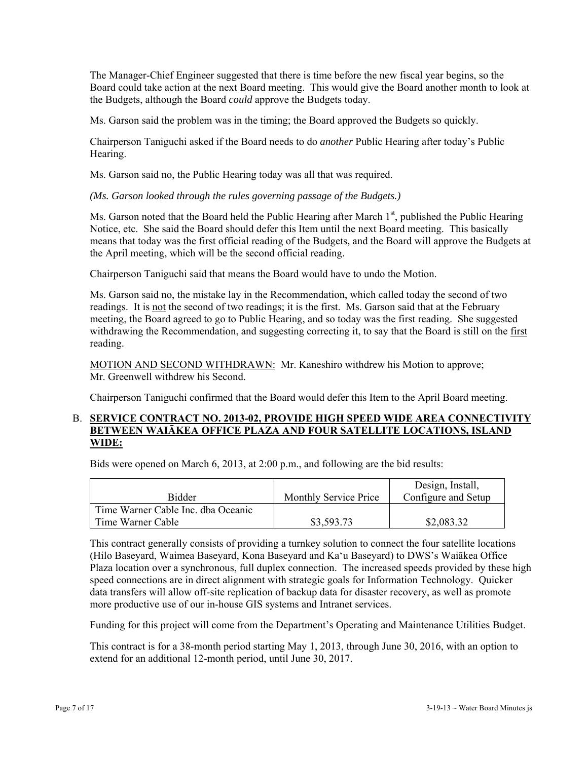The Manager-Chief Engineer suggested that there is time before the new fiscal year begins, so the Board could take action at the next Board meeting. This would give the Board another month to look at the Budgets, although the Board *could* approve the Budgets today.

Ms. Garson said the problem was in the timing; the Board approved the Budgets so quickly.

Chairperson Taniguchi asked if the Board needs to do *another* Public Hearing after today's Public Hearing.

Ms. Garson said no, the Public Hearing today was all that was required.

*(Ms. Garson looked through the rules governing passage of the Budgets.)* 

Ms. Garson noted that the Board held the Public Hearing after March 1<sup>st</sup>, published the Public Hearing Notice, etc. She said the Board should defer this Item until the next Board meeting. This basically means that today was the first official reading of the Budgets, and the Board will approve the Budgets at the April meeting, which will be the second official reading.

Chairperson Taniguchi said that means the Board would have to undo the Motion.

Ms. Garson said no, the mistake lay in the Recommendation, which called today the second of two readings. It is not the second of two readings; it is the first. Ms. Garson said that at the February meeting, the Board agreed to go to Public Hearing, and so today was the first reading. She suggested withdrawing the Recommendation, and suggesting correcting it, to say that the Board is still on the first reading.

MOTION AND SECOND WITHDRAWN: Mr. Kaneshiro withdrew his Motion to approve; Mr. Greenwell withdrew his Second.

Chairperson Taniguchi confirmed that the Board would defer this Item to the April Board meeting.

### B. **SERVICE CONTRACT NO. 2013-02, PROVIDE HIGH SPEED WIDE AREA CONNECTIVITY BETWEEN WAIĀKEA OFFICE PLAZA AND FOUR SATELLITE LOCATIONS, ISLAND WIDE:**

Bids were opened on March 6, 2013, at 2:00 p.m., and following are the bid results:

|                                    |                       | Design, Install,    |
|------------------------------------|-----------------------|---------------------|
| Bidder                             | Monthly Service Price | Configure and Setup |
| Time Warner Cable Inc. dba Oceanic |                       |                     |
| Time Warner Cable                  | \$3,593.73            | \$2,083.32          |

This contract generally consists of providing a turnkey solution to connect the four satellite locations (Hilo Baseyard, Waimea Baseyard, Kona Baseyard and Ka'u Baseyard) to DWS's Waiākea Office Plaza location over a synchronous, full duplex connection. The increased speeds provided by these high speed connections are in direct alignment with strategic goals for Information Technology. Quicker data transfers will allow off-site replication of backup data for disaster recovery, as well as promote more productive use of our in-house GIS systems and Intranet services.

Funding for this project will come from the Department's Operating and Maintenance Utilities Budget.

This contract is for a 38-month period starting May 1, 2013, through June 30, 2016, with an option to extend for an additional 12-month period, until June 30, 2017.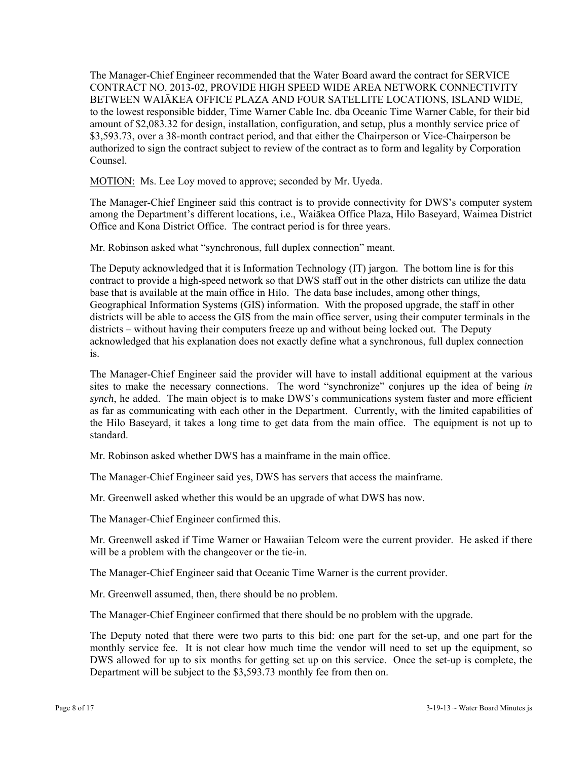The Manager-Chief Engineer recommended that the Water Board award the contract for SERVICE CONTRACT NO. 2013-02, PROVIDE HIGH SPEED WIDE AREA NETWORK CONNECTIVITY BETWEEN WAIĀKEA OFFICE PLAZA AND FOUR SATELLITE LOCATIONS, ISLAND WIDE, to the lowest responsible bidder, Time Warner Cable Inc. dba Oceanic Time Warner Cable, for their bid amount of \$2,083.32 for design, installation, configuration, and setup, plus a monthly service price of \$3,593.73, over a 38-month contract period, and that either the Chairperson or Vice-Chairperson be authorized to sign the contract subject to review of the contract as to form and legality by Corporation Counsel.

MOTION: Ms. Lee Loy moved to approve; seconded by Mr. Uyeda.

The Manager-Chief Engineer said this contract is to provide connectivity for DWS's computer system among the Department's different locations, i.e., Waiākea Office Plaza, Hilo Baseyard, Waimea District Office and Kona District Office. The contract period is for three years.

Mr. Robinson asked what "synchronous, full duplex connection" meant.

The Deputy acknowledged that it is Information Technology (IT) jargon. The bottom line is for this contract to provide a high-speed network so that DWS staff out in the other districts can utilize the data base that is available at the main office in Hilo. The data base includes, among other things, Geographical Information Systems (GIS) information. With the proposed upgrade, the staff in other districts will be able to access the GIS from the main office server, using their computer terminals in the districts – without having their computers freeze up and without being locked out. The Deputy acknowledged that his explanation does not exactly define what a synchronous, full duplex connection is.

The Manager-Chief Engineer said the provider will have to install additional equipment at the various sites to make the necessary connections. The word "synchronize" conjures up the idea of being *in synch*, he added. The main object is to make DWS's communications system faster and more efficient as far as communicating with each other in the Department. Currently, with the limited capabilities of the Hilo Baseyard, it takes a long time to get data from the main office. The equipment is not up to standard.

Mr. Robinson asked whether DWS has a mainframe in the main office.

The Manager-Chief Engineer said yes, DWS has servers that access the mainframe.

Mr. Greenwell asked whether this would be an upgrade of what DWS has now.

The Manager-Chief Engineer confirmed this.

Mr. Greenwell asked if Time Warner or Hawaiian Telcom were the current provider. He asked if there will be a problem with the changeover or the tie-in.

The Manager-Chief Engineer said that Oceanic Time Warner is the current provider.

Mr. Greenwell assumed, then, there should be no problem.

The Manager-Chief Engineer confirmed that there should be no problem with the upgrade.

The Deputy noted that there were two parts to this bid: one part for the set-up, and one part for the monthly service fee. It is not clear how much time the vendor will need to set up the equipment, so DWS allowed for up to six months for getting set up on this service. Once the set-up is complete, the Department will be subject to the \$3,593.73 monthly fee from then on.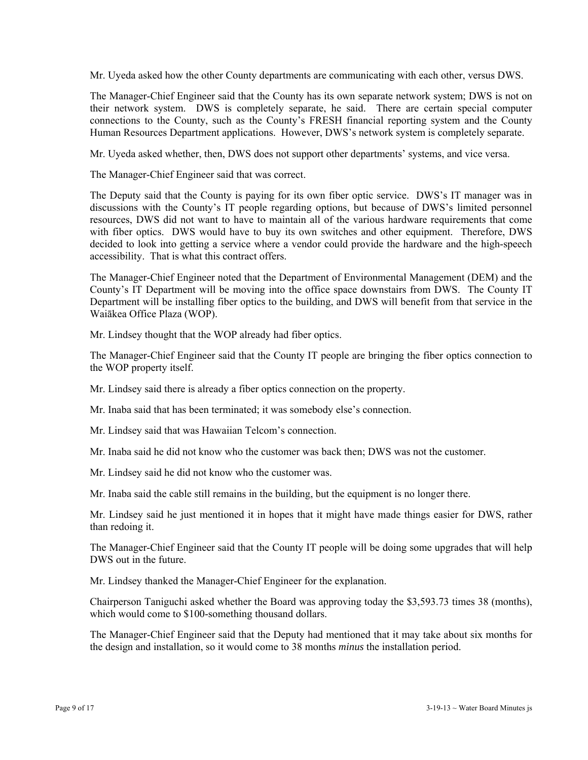Mr. Uyeda asked how the other County departments are communicating with each other, versus DWS.

The Manager-Chief Engineer said that the County has its own separate network system; DWS is not on their network system. DWS is completely separate, he said. There are certain special computer connections to the County, such as the County's FRESH financial reporting system and the County Human Resources Department applications. However, DWS's network system is completely separate.

Mr. Uyeda asked whether, then, DWS does not support other departments' systems, and vice versa.

The Manager-Chief Engineer said that was correct.

The Deputy said that the County is paying for its own fiber optic service. DWS's IT manager was in discussions with the County's IT people regarding options, but because of DWS's limited personnel resources, DWS did not want to have to maintain all of the various hardware requirements that come with fiber optics. DWS would have to buy its own switches and other equipment. Therefore, DWS decided to look into getting a service where a vendor could provide the hardware and the high-speech accessibility. That is what this contract offers.

The Manager-Chief Engineer noted that the Department of Environmental Management (DEM) and the County's IT Department will be moving into the office space downstairs from DWS. The County IT Department will be installing fiber optics to the building, and DWS will benefit from that service in the Waiākea Office Plaza (WOP).

Mr. Lindsey thought that the WOP already had fiber optics.

The Manager-Chief Engineer said that the County IT people are bringing the fiber optics connection to the WOP property itself.

Mr. Lindsey said there is already a fiber optics connection on the property.

Mr. Inaba said that has been terminated; it was somebody else's connection.

Mr. Lindsey said that was Hawaiian Telcom's connection.

Mr. Inaba said he did not know who the customer was back then; DWS was not the customer.

Mr. Lindsey said he did not know who the customer was.

Mr. Inaba said the cable still remains in the building, but the equipment is no longer there.

Mr. Lindsey said he just mentioned it in hopes that it might have made things easier for DWS, rather than redoing it.

The Manager-Chief Engineer said that the County IT people will be doing some upgrades that will help DWS out in the future.

Mr. Lindsey thanked the Manager-Chief Engineer for the explanation.

Chairperson Taniguchi asked whether the Board was approving today the \$3,593.73 times 38 (months), which would come to \$100-something thousand dollars.

The Manager-Chief Engineer said that the Deputy had mentioned that it may take about six months for the design and installation, so it would come to 38 months *minus* the installation period.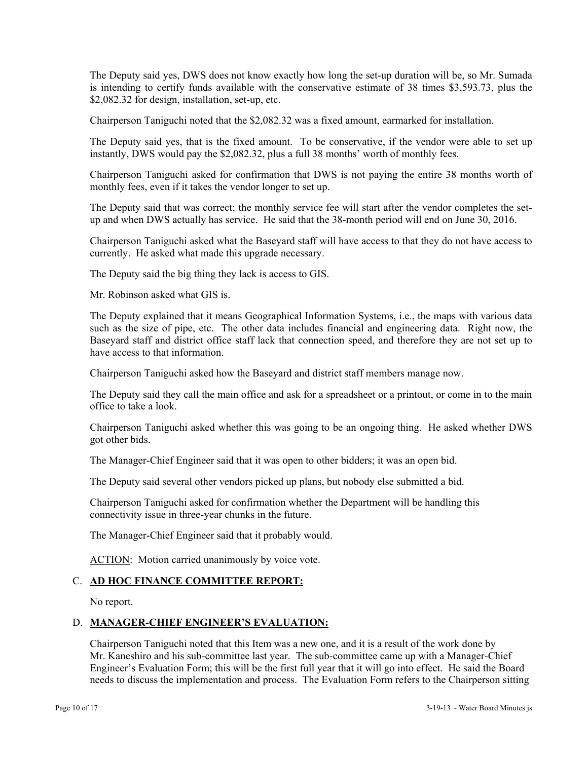The Deputy said yes, DWS does not know exactly how long the set-up duration will be, so Mr. Sumada is intending to certify funds available with the conservative estimate of 38 times \$3,593.73, plus the \$2,082.32 for design, installation, set-up, etc.

Chairperson Taniguchi noted that the \$2,082.32 was a fixed amount, earmarked for installation.

The Deputy said yes, that is the fixed amount. To be conservative, if the vendor were able to set up instantly, DWS would pay the \$2,082.32, plus a full 38 months' worth of monthly fees.

Chairperson Taniguchi asked for confirmation that DWS is not paying the entire 38 months worth of monthly fees, even if it takes the vendor longer to set up.

The Deputy said that was correct; the monthly service fee will start after the vendor completes the setup and when DWS actually has service. He said that the 38-month period will end on June 30, 2016.

Chairperson Taniguchi asked what the Baseyard staff will have access to that they do not have access to currently. He asked what made this upgrade necessary.

The Deputy said the big thing they lack is access to GIS.

Mr. Robinson asked what GIS is.

The Deputy explained that it means Geographical Information Systems, i.e., the maps with various data such as the size of pipe, etc. The other data includes financial and engineering data. Right now, the Baseyard staff and district office staff lack that connection speed, and therefore they are not set up to have access to that information.

Chairperson Taniguchi asked how the Baseyard and district staff members manage now.

The Deputy said they call the main office and ask for a spreadsheet or a printout, or come in to the main office to take a look.

Chairperson Taniguchi asked whether this was going to be an ongoing thing. He asked whether DWS got other bids.

The Manager-Chief Engineer said that it was open to other bidders; it was an open bid.

The Deputy said several other vendors picked up plans, but nobody else submitted a bid.

Chairperson Taniguchi asked for confirmation whether the Department will be handling this connectivity issue in three-year chunks in the future.

The Manager-Chief Engineer said that it probably would.

ACTION: Motion carried unanimously by voice vote.

## C. **AD HOC FINANCE COMMITTEE REPORT:**

No report.

## D. **MANAGER-CHIEF ENGINEER'S EVALUATION:**

Chairperson Taniguchi noted that this Item was a new one, and it is a result of the work done by Mr. Kaneshiro and his sub-committee last year. The sub-committee came up with a Manager-Chief Engineer's Evaluation Form; this will be the first full year that it will go into effect. He said the Board needs to discuss the implementation and process. The Evaluation Form refers to the Chairperson sitting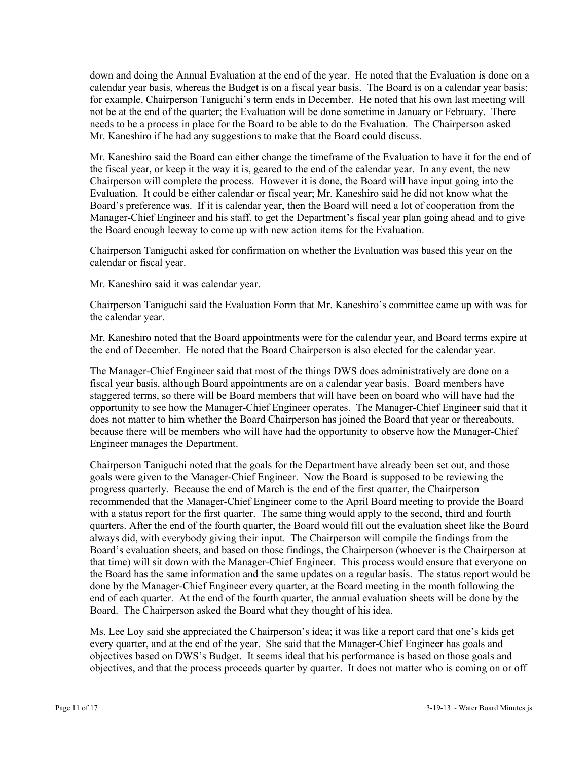down and doing the Annual Evaluation at the end of the year. He noted that the Evaluation is done on a calendar year basis, whereas the Budget is on a fiscal year basis. The Board is on a calendar year basis; for example, Chairperson Taniguchi's term ends in December. He noted that his own last meeting will not be at the end of the quarter; the Evaluation will be done sometime in January or February. There needs to be a process in place for the Board to be able to do the Evaluation. The Chairperson asked Mr. Kaneshiro if he had any suggestions to make that the Board could discuss.

Mr. Kaneshiro said the Board can either change the timeframe of the Evaluation to have it for the end of the fiscal year, or keep it the way it is, geared to the end of the calendar year. In any event, the new Chairperson will complete the process. However it is done, the Board will have input going into the Evaluation. It could be either calendar or fiscal year; Mr. Kaneshiro said he did not know what the Board's preference was. If it is calendar year, then the Board will need a lot of cooperation from the Manager-Chief Engineer and his staff, to get the Department's fiscal year plan going ahead and to give the Board enough leeway to come up with new action items for the Evaluation.

Chairperson Taniguchi asked for confirmation on whether the Evaluation was based this year on the calendar or fiscal year.

Mr. Kaneshiro said it was calendar year.

Chairperson Taniguchi said the Evaluation Form that Mr. Kaneshiro's committee came up with was for the calendar year.

Mr. Kaneshiro noted that the Board appointments were for the calendar year, and Board terms expire at the end of December. He noted that the Board Chairperson is also elected for the calendar year.

The Manager-Chief Engineer said that most of the things DWS does administratively are done on a fiscal year basis, although Board appointments are on a calendar year basis. Board members have staggered terms, so there will be Board members that will have been on board who will have had the opportunity to see how the Manager-Chief Engineer operates. The Manager-Chief Engineer said that it does not matter to him whether the Board Chairperson has joined the Board that year or thereabouts, because there will be members who will have had the opportunity to observe how the Manager-Chief Engineer manages the Department.

Chairperson Taniguchi noted that the goals for the Department have already been set out, and those goals were given to the Manager-Chief Engineer. Now the Board is supposed to be reviewing the progress quarterly. Because the end of March is the end of the first quarter, the Chairperson recommended that the Manager-Chief Engineer come to the April Board meeting to provide the Board with a status report for the first quarter. The same thing would apply to the second, third and fourth quarters. After the end of the fourth quarter, the Board would fill out the evaluation sheet like the Board always did, with everybody giving their input. The Chairperson will compile the findings from the Board's evaluation sheets, and based on those findings, the Chairperson (whoever is the Chairperson at that time) will sit down with the Manager-Chief Engineer. This process would ensure that everyone on the Board has the same information and the same updates on a regular basis. The status report would be done by the Manager-Chief Engineer every quarter, at the Board meeting in the month following the end of each quarter. At the end of the fourth quarter, the annual evaluation sheets will be done by the Board. The Chairperson asked the Board what they thought of his idea.

Ms. Lee Loy said she appreciated the Chairperson's idea; it was like a report card that one's kids get every quarter, and at the end of the year. She said that the Manager-Chief Engineer has goals and objectives based on DWS's Budget. It seems ideal that his performance is based on those goals and objectives, and that the process proceeds quarter by quarter. It does not matter who is coming on or off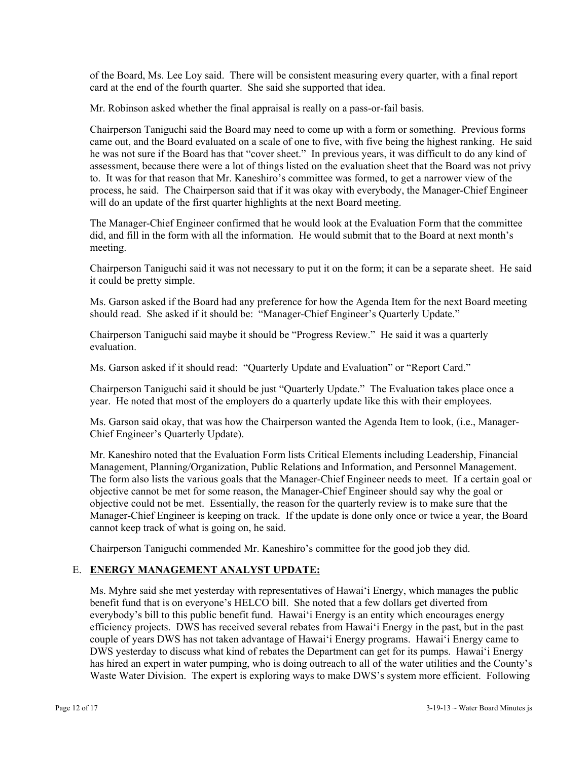of the Board, Ms. Lee Loy said. There will be consistent measuring every quarter, with a final report card at the end of the fourth quarter. She said she supported that idea.

Mr. Robinson asked whether the final appraisal is really on a pass-or-fail basis.

Chairperson Taniguchi said the Board may need to come up with a form or something. Previous forms came out, and the Board evaluated on a scale of one to five, with five being the highest ranking. He said he was not sure if the Board has that "cover sheet." In previous years, it was difficult to do any kind of assessment, because there were a lot of things listed on the evaluation sheet that the Board was not privy to. It was for that reason that Mr. Kaneshiro's committee was formed, to get a narrower view of the process, he said. The Chairperson said that if it was okay with everybody, the Manager-Chief Engineer will do an update of the first quarter highlights at the next Board meeting.

The Manager-Chief Engineer confirmed that he would look at the Evaluation Form that the committee did, and fill in the form with all the information. He would submit that to the Board at next month's meeting.

Chairperson Taniguchi said it was not necessary to put it on the form; it can be a separate sheet. He said it could be pretty simple.

Ms. Garson asked if the Board had any preference for how the Agenda Item for the next Board meeting should read. She asked if it should be: "Manager-Chief Engineer's Quarterly Update."

Chairperson Taniguchi said maybe it should be "Progress Review." He said it was a quarterly evaluation.

Ms. Garson asked if it should read: "Quarterly Update and Evaluation" or "Report Card."

Chairperson Taniguchi said it should be just "Quarterly Update." The Evaluation takes place once a year. He noted that most of the employers do a quarterly update like this with their employees.

Ms. Garson said okay, that was how the Chairperson wanted the Agenda Item to look, (i.e., Manager-Chief Engineer's Quarterly Update).

Mr. Kaneshiro noted that the Evaluation Form lists Critical Elements including Leadership, Financial Management, Planning/Organization, Public Relations and Information, and Personnel Management. The form also lists the various goals that the Manager-Chief Engineer needs to meet. If a certain goal or objective cannot be met for some reason, the Manager-Chief Engineer should say why the goal or objective could not be met. Essentially, the reason for the quarterly review is to make sure that the Manager-Chief Engineer is keeping on track. If the update is done only once or twice a year, the Board cannot keep track of what is going on, he said.

Chairperson Taniguchi commended Mr. Kaneshiro's committee for the good job they did.

# E. **ENERGY MANAGEMENT ANALYST UPDATE:**

Ms. Myhre said she met yesterday with representatives of Hawai'i Energy, which manages the public benefit fund that is on everyone's HELCO bill. She noted that a few dollars get diverted from everybody's bill to this public benefit fund. Hawai'i Energy is an entity which encourages energy efficiency projects. DWS has received several rebates from Hawai'i Energy in the past, but in the past couple of years DWS has not taken advantage of Hawai'i Energy programs. Hawai'i Energy came to DWS yesterday to discuss what kind of rebates the Department can get for its pumps. Hawai'i Energy has hired an expert in water pumping, who is doing outreach to all of the water utilities and the County's Waste Water Division. The expert is exploring ways to make DWS's system more efficient. Following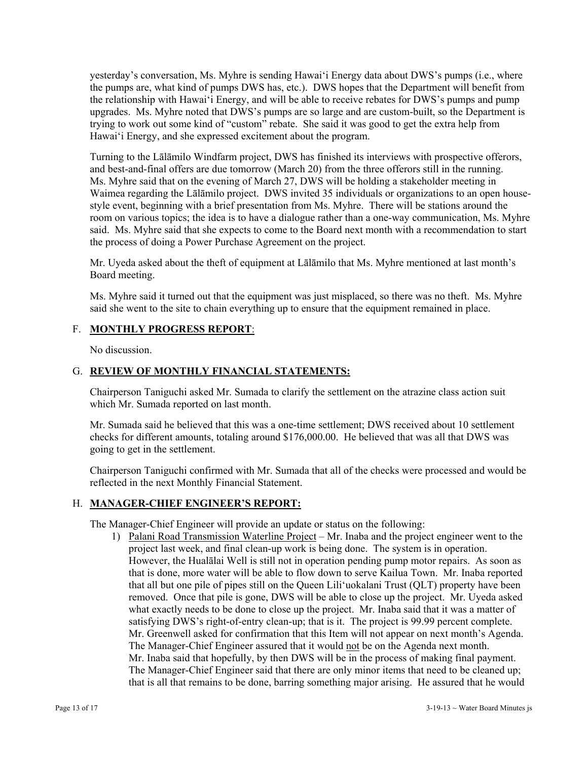yesterday's conversation, Ms. Myhre is sending Hawai'i Energy data about DWS's pumps (i.e., where the pumps are, what kind of pumps DWS has, etc.). DWS hopes that the Department will benefit from the relationship with Hawai'i Energy, and will be able to receive rebates for DWS's pumps and pump upgrades. Ms. Myhre noted that DWS's pumps are so large and are custom-built, so the Department is trying to work out some kind of "custom" rebate. She said it was good to get the extra help from Hawai'i Energy, and she expressed excitement about the program.

Turning to the Lālāmilo Windfarm project, DWS has finished its interviews with prospective offerors, and best-and-final offers are due tomorrow (March 20) from the three offerors still in the running. Ms. Myhre said that on the evening of March 27, DWS will be holding a stakeholder meeting in Waimea regarding the Lālāmilo project. DWS invited 35 individuals or organizations to an open housestyle event, beginning with a brief presentation from Ms. Myhre. There will be stations around the room on various topics; the idea is to have a dialogue rather than a one-way communication, Ms. Myhre said. Ms. Myhre said that she expects to come to the Board next month with a recommendation to start the process of doing a Power Purchase Agreement on the project.

Mr. Uyeda asked about the theft of equipment at Lālāmilo that Ms. Myhre mentioned at last month's Board meeting.

Ms. Myhre said it turned out that the equipment was just misplaced, so there was no theft. Ms. Myhre said she went to the site to chain everything up to ensure that the equipment remained in place.

## F. **MONTHLY PROGRESS REPORT**:

No discussion.

# G. **REVIEW OF MONTHLY FINANCIAL STATEMENTS:**

Chairperson Taniguchi asked Mr. Sumada to clarify the settlement on the atrazine class action suit which Mr. Sumada reported on last month.

Mr. Sumada said he believed that this was a one-time settlement; DWS received about 10 settlement checks for different amounts, totaling around \$176,000.00. He believed that was all that DWS was going to get in the settlement.

Chairperson Taniguchi confirmed with Mr. Sumada that all of the checks were processed and would be reflected in the next Monthly Financial Statement.

# H. **MANAGER-CHIEF ENGINEER'S REPORT:**

The Manager-Chief Engineer will provide an update or status on the following:

1) Palani Road Transmission Waterline Project – Mr. Inaba and the project engineer went to the project last week, and final clean-up work is being done. The system is in operation. However, the Hualālai Well is still not in operation pending pump motor repairs. As soon as that is done, more water will be able to flow down to serve Kailua Town. Mr. Inaba reported that all but one pile of pipes still on the Queen Lili'uokalani Trust (QLT) property have been removed. Once that pile is gone, DWS will be able to close up the project. Mr. Uyeda asked what exactly needs to be done to close up the project. Mr. Inaba said that it was a matter of satisfying DWS's right-of-entry clean-up; that is it. The project is 99.99 percent complete. Mr. Greenwell asked for confirmation that this Item will not appear on next month's Agenda. The Manager-Chief Engineer assured that it would not be on the Agenda next month. Mr. Inaba said that hopefully, by then DWS will be in the process of making final payment. The Manager-Chief Engineer said that there are only minor items that need to be cleaned up; that is all that remains to be done, barring something major arising. He assured that he would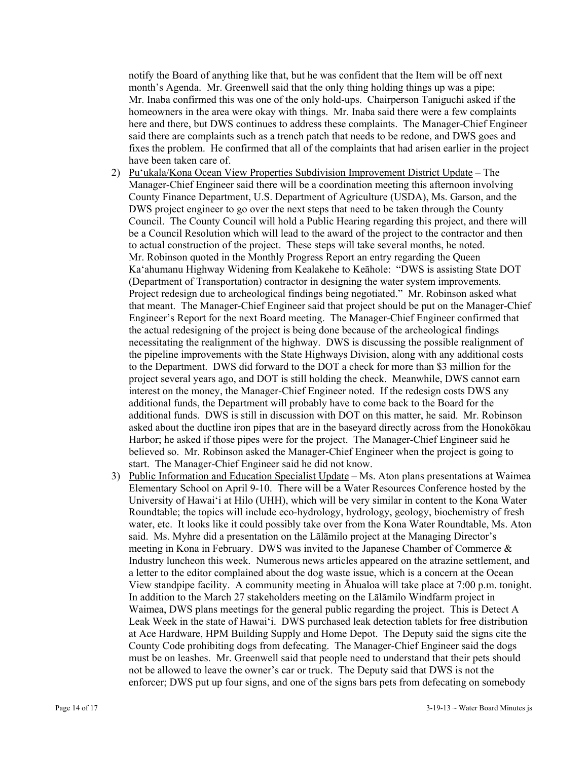notify the Board of anything like that, but he was confident that the Item will be off next month's Agenda. Mr. Greenwell said that the only thing holding things up was a pipe; Mr. Inaba confirmed this was one of the only hold-ups. Chairperson Taniguchi asked if the homeowners in the area were okay with things. Mr. Inaba said there were a few complaints here and there, but DWS continues to address these complaints. The Manager-Chief Engineer said there are complaints such as a trench patch that needs to be redone, and DWS goes and fixes the problem. He confirmed that all of the complaints that had arisen earlier in the project have been taken care of.

- 2) Pu'ukala/Kona Ocean View Properties Subdivision Improvement District Update The Manager-Chief Engineer said there will be a coordination meeting this afternoon involving County Finance Department, U.S. Department of Agriculture (USDA), Ms. Garson, and the DWS project engineer to go over the next steps that need to be taken through the County Council. The County Council will hold a Public Hearing regarding this project, and there will be a Council Resolution which will lead to the award of the project to the contractor and then to actual construction of the project. These steps will take several months, he noted. Mr. Robinson quoted in the Monthly Progress Report an entry regarding the Queen Ka'ahumanu Highway Widening from Kealakehe to Keāhole: "DWS is assisting State DOT (Department of Transportation) contractor in designing the water system improvements. Project redesign due to archeological findings being negotiated." Mr. Robinson asked what that meant. The Manager-Chief Engineer said that project should be put on the Manager-Chief Engineer's Report for the next Board meeting. The Manager-Chief Engineer confirmed that the actual redesigning of the project is being done because of the archeological findings necessitating the realignment of the highway. DWS is discussing the possible realignment of the pipeline improvements with the State Highways Division, along with any additional costs to the Department. DWS did forward to the DOT a check for more than \$3 million for the project several years ago, and DOT is still holding the check. Meanwhile, DWS cannot earn interest on the money, the Manager-Chief Engineer noted. If the redesign costs DWS any additional funds, the Department will probably have to come back to the Board for the additional funds. DWS is still in discussion with DOT on this matter, he said. Mr. Robinson asked about the ductline iron pipes that are in the baseyard directly across from the Honokōkau Harbor; he asked if those pipes were for the project. The Manager-Chief Engineer said he believed so. Mr. Robinson asked the Manager-Chief Engineer when the project is going to start. The Manager-Chief Engineer said he did not know.
- 3) Public Information and Education Specialist Update Ms. Aton plans presentations at Waimea Elementary School on April 9-10. There will be a Water Resources Conference hosted by the University of Hawai'i at Hilo (UHH), which will be very similar in content to the Kona Water Roundtable; the topics will include eco-hydrology, hydrology, geology, biochemistry of fresh water, etc. It looks like it could possibly take over from the Kona Water Roundtable, Ms. Aton said. Ms. Myhre did a presentation on the Lālāmilo project at the Managing Director's meeting in Kona in February. DWS was invited to the Japanese Chamber of Commerce & Industry luncheon this week. Numerous news articles appeared on the atrazine settlement, and a letter to the editor complained about the dog waste issue, which is a concern at the Ocean View standpipe facility. A community meeting in Āhualoa will take place at 7:00 p.m. tonight. In addition to the March 27 stakeholders meeting on the Lālāmilo Windfarm project in Waimea, DWS plans meetings for the general public regarding the project. This is Detect A Leak Week in the state of Hawai'i. DWS purchased leak detection tablets for free distribution at Ace Hardware, HPM Building Supply and Home Depot. The Deputy said the signs cite the County Code prohibiting dogs from defecating. The Manager-Chief Engineer said the dogs must be on leashes. Mr. Greenwell said that people need to understand that their pets should not be allowed to leave the owner's car or truck. The Deputy said that DWS is not the enforcer; DWS put up four signs, and one of the signs bars pets from defecating on somebody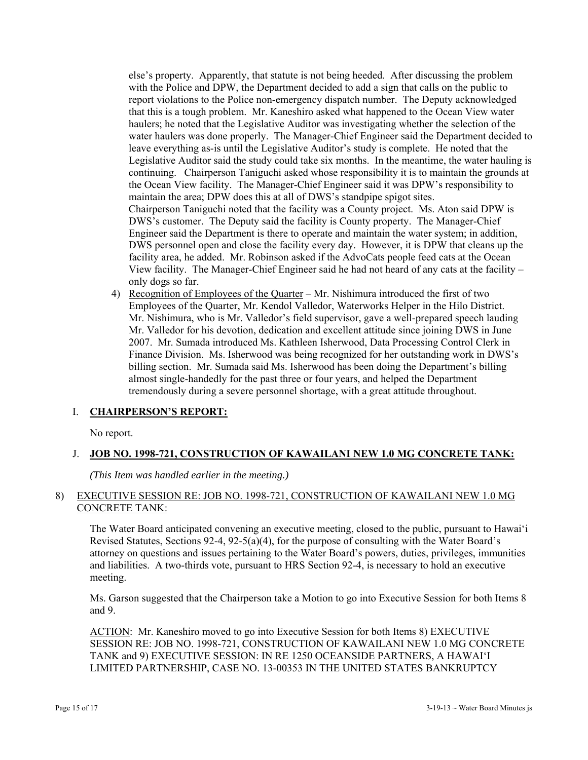else's property. Apparently, that statute is not being heeded. After discussing the problem with the Police and DPW, the Department decided to add a sign that calls on the public to report violations to the Police non-emergency dispatch number. The Deputy acknowledged that this is a tough problem. Mr. Kaneshiro asked what happened to the Ocean View water haulers; he noted that the Legislative Auditor was investigating whether the selection of the water haulers was done properly. The Manager-Chief Engineer said the Department decided to leave everything as-is until the Legislative Auditor's study is complete. He noted that the Legislative Auditor said the study could take six months. In the meantime, the water hauling is continuing. Chairperson Taniguchi asked whose responsibility it is to maintain the grounds at the Ocean View facility. The Manager-Chief Engineer said it was DPW's responsibility to maintain the area; DPW does this at all of DWS's standpipe spigot sites. Chairperson Taniguchi noted that the facility was a County project. Ms. Aton said DPW is DWS's customer. The Deputy said the facility is County property. The Manager-Chief Engineer said the Department is there to operate and maintain the water system; in addition, DWS personnel open and close the facility every day. However, it is DPW that cleans up the facility area, he added. Mr. Robinson asked if the AdvoCats people feed cats at the Ocean View facility. The Manager-Chief Engineer said he had not heard of any cats at the facility – only dogs so far.

4) Recognition of Employees of the Quarter – Mr. Nishimura introduced the first of two Employees of the Quarter, Mr. Kendol Valledor, Waterworks Helper in the Hilo District. Mr. Nishimura, who is Mr. Valledor's field supervisor, gave a well-prepared speech lauding Mr. Valledor for his devotion, dedication and excellent attitude since joining DWS in June 2007. Mr. Sumada introduced Ms. Kathleen Isherwood, Data Processing Control Clerk in Finance Division. Ms. Isherwood was being recognized for her outstanding work in DWS's billing section. Mr. Sumada said Ms. Isherwood has been doing the Department's billing almost single-handedly for the past three or four years, and helped the Department tremendously during a severe personnel shortage, with a great attitude throughout.

# I. **CHAIRPERSON'S REPORT:**

No report.

# J. **JOB NO. 1998-721, CONSTRUCTION OF KAWAILANI NEW 1.0 MG CONCRETE TANK:**

*(This Item was handled earlier in the meeting.)* 

## 8) EXECUTIVE SESSION RE: JOB NO. 1998-721, CONSTRUCTION OF KAWAILANI NEW 1.0 MG CONCRETE TANK:

The Water Board anticipated convening an executive meeting, closed to the public, pursuant to Hawai'i Revised Statutes, Sections 92-4, 92-5(a)(4), for the purpose of consulting with the Water Board's attorney on questions and issues pertaining to the Water Board's powers, duties, privileges, immunities and liabilities. A two-thirds vote, pursuant to HRS Section 92-4, is necessary to hold an executive meeting.

Ms. Garson suggested that the Chairperson take a Motion to go into Executive Session for both Items 8 and 9.

ACTION: Mr. Kaneshiro moved to go into Executive Session for both Items 8) EXECUTIVE SESSION RE: JOB NO. 1998-721, CONSTRUCTION OF KAWAILANI NEW 1.0 MG CONCRETE TANK and 9) EXECUTIVE SESSION: IN RE 1250 OCEANSIDE PARTNERS, A HAWAI'I LIMITED PARTNERSHIP, CASE NO. 13-00353 IN THE UNITED STATES BANKRUPTCY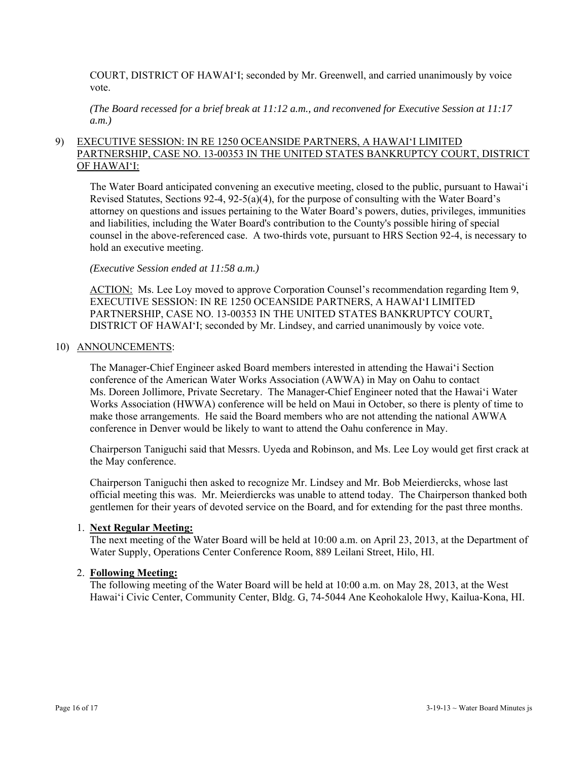COURT, DISTRICT OF HAWAI'I; seconded by Mr. Greenwell, and carried unanimously by voice vote.

*(The Board recessed for a brief break at 11:12 a.m., and reconvened for Executive Session at 11:17 a.m.)* 

# 9) EXECUTIVE SESSION: IN RE 1250 OCEANSIDE PARTNERS, A HAWAI'I LIMITED PARTNERSHIP, CASE NO. 13-00353 IN THE UNITED STATES BANKRUPTCY COURT, DISTRICT OF HAWAI'I:

The Water Board anticipated convening an executive meeting, closed to the public, pursuant to Hawai'i Revised Statutes, Sections 92-4, 92-5(a)(4), for the purpose of consulting with the Water Board's attorney on questions and issues pertaining to the Water Board's powers, duties, privileges, immunities and liabilities, including the Water Board's contribution to the County's possible hiring of special counsel in the above-referenced case. A two-thirds vote, pursuant to HRS Section 92-4, is necessary to hold an executive meeting.

#### *(Executive Session ended at 11:58 a.m.)*

ACTION: Ms. Lee Loy moved to approve Corporation Counsel's recommendation regarding Item 9, EXECUTIVE SESSION: IN RE 1250 OCEANSIDE PARTNERS, A HAWAI'I LIMITED PARTNERSHIP, CASE NO. 13-00353 IN THE UNITED STATES BANKRUPTCY COURT, DISTRICT OF HAWAI'I; seconded by Mr. Lindsey, and carried unanimously by voice vote.

#### 10) ANNOUNCEMENTS:

The Manager-Chief Engineer asked Board members interested in attending the Hawai'i Section conference of the American Water Works Association (AWWA) in May on Oahu to contact Ms. Doreen Jollimore, Private Secretary. The Manager-Chief Engineer noted that the Hawai'i Water Works Association (HWWA) conference will be held on Maui in October, so there is plenty of time to make those arrangements. He said the Board members who are not attending the national AWWA conference in Denver would be likely to want to attend the Oahu conference in May.

Chairperson Taniguchi said that Messrs. Uyeda and Robinson, and Ms. Lee Loy would get first crack at the May conference.

Chairperson Taniguchi then asked to recognize Mr. Lindsey and Mr. Bob Meierdiercks, whose last official meeting this was. Mr. Meierdiercks was unable to attend today. The Chairperson thanked both gentlemen for their years of devoted service on the Board, and for extending for the past three months.

#### 1. **Next Regular Meeting:**

The next meeting of the Water Board will be held at 10:00 a.m. on April 23, 2013, at the Department of Water Supply, Operations Center Conference Room, 889 Leilani Street, Hilo, HI.

#### 2. **Following Meeting:**

The following meeting of the Water Board will be held at 10:00 a.m. on May 28, 2013, at the West Hawai'i Civic Center, Community Center, Bldg. G, 74-5044 Ane Keohokalole Hwy, Kailua-Kona, HI.